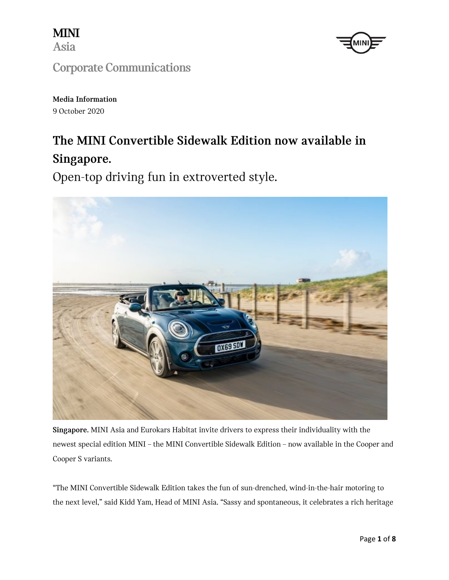



**Media Information** 9 October 2020

# **The MINI Convertible Sidewalk Edition now available in Singapore.**

Open-top driving fun in extroverted style.



**Singapore.** MINI Asia and Eurokars Habitat invite drivers to express their individuality with the newest special edition MINI – the MINI Convertible Sidewalk Edition – now available in the Cooper and Cooper S variants.

"The MINI Convertible Sidewalk Edition takes the fun of sun-drenched, wind-in-the-hair motoring to the next level," said Kidd Yam, Head of MINI Asia. "Sassy and spontaneous, it celebrates a rich heritage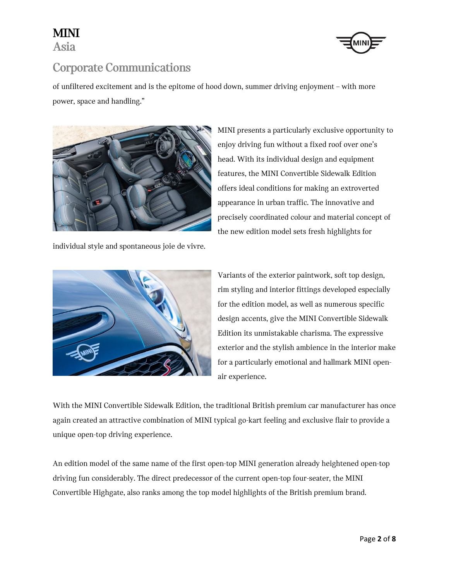

## **Corporate Communications**

of unfiltered excitement and is the epitome of hood down, summer driving enjoyment – with more power, space and handling."



individual style and spontaneous joie de vivre.

MINI presents a particularly exclusive opportunity to enjoy driving fun without a fixed roof over one's head. With its individual design and equipment features, the MINI Convertible Sidewalk Edition offers ideal conditions for making an extroverted appearance in urban traffic. The innovative and precisely coordinated colour and material concept of the new edition model sets fresh highlights for



Variants of the exterior paintwork, soft top design, rim styling and interior fittings developed especially for the edition model, as well as numerous specific design accents, give the MINI Convertible Sidewalk Edition its unmistakable charisma. The expressive exterior and the stylish ambience in the interior make for a particularly emotional and hallmark MINI openair experience.

With the MINI Convertible Sidewalk Edition, the traditional British premium car manufacturer has once again created an attractive combination of MINI typical go-kart feeling and exclusive flair to provide a unique open-top driving experience.

An edition model of the same name of the first open-top MINI generation already heightened open-top driving fun considerably. The direct predecessor of the current open-top four-seater, the MINI Convertible Highgate, also ranks among the top model highlights of the British premium brand.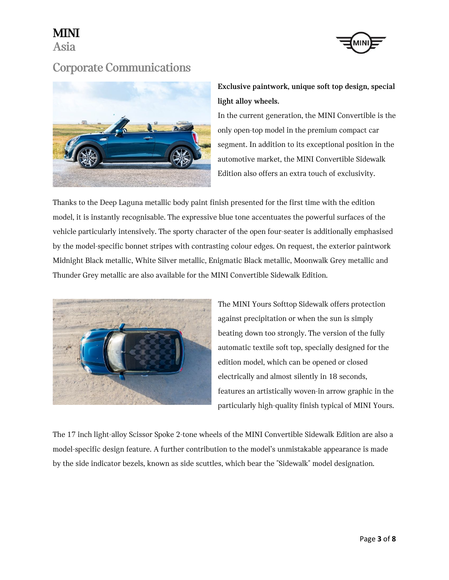

## **Corporate Communications**



### **Exclusive paintwork, unique soft top design, special light alloy wheels.**

In the current generation, the MINI Convertible is the only open-top model in the premium compact car segment. In addition to its exceptional position in the automotive market, the MINI Convertible Sidewalk Edition also offers an extra touch of exclusivity.

Thanks to the Deep Laguna metallic body paint finish presented for the first time with the edition model, it is instantly recognisable. The expressive blue tone accentuates the powerful surfaces of the vehicle particularly intensively. The sporty character of the open four-seater is additionally emphasised by the model-specific bonnet stripes with contrasting colour edges. On request, the exterior paintwork Midnight Black metallic, White Silver metallic, Enigmatic Black metallic, Moonwalk Grey metallic and Thunder Grey metallic are also available for the MINI Convertible Sidewalk Edition.



The MINI Yours Softtop Sidewalk offers protection against precipitation or when the sun is simply beating down too strongly. The version of the fully automatic textile soft top, specially designed for the edition model, which can be opened or closed electrically and almost silently in 18 seconds, features an artistically woven-in arrow graphic in the particularly high-quality finish typical of MINI Yours.

The 17 inch light-alloy Scissor Spoke 2-tone wheels of the MINI Convertible Sidewalk Edition are also a model-specific design feature. A further contribution to the model's unmistakable appearance is made by the side indicator bezels, known as side scuttles, which bear the "Sidewalk" model designation.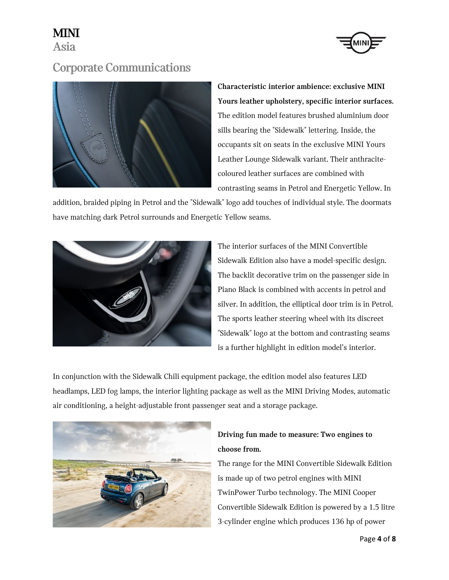

## **Corporate Communications**



**Characteristic interior ambience: exclusive MINI Yours leather upholstery, specific interior surfaces.** The edition model features brushed aluminium door sills bearing the "Sidewalk" lettering. Inside, the occupants sit on seats in the exclusive MINI Yours Leather Lounge Sidewalk variant. Their anthracitecoloured leather surfaces are combined with contrasting seams in Petrol and Energetic Yellow. In

addition, braided piping in Petrol and the "Sidewalk" logo add touches of individual style. The doormats have matching dark Petrol surrounds and Energetic Yellow seams.



The interior surfaces of the MINI Convertible Sidewalk Edition also have a model-specific design. The backlit decorative trim on the passenger side in Piano Black is combined with accents in petrol and silver. In addition, the elliptical door trim is in Petrol. The sports leather steering wheel with its discreet "Sidewalk" logo at the bottom and contrasting seams is a further highlight in edition model's interior.

In conjunction with the Sidewalk Chili equipment package, the edition model also features LED headlamps, LED fog lamps, the interior lighting package as well as the MINI Driving Modes, automatic air conditioning, a height-adjustable front passenger seat and a storage package.



### **Driving fun made to measure: Two engines to choose from.**

The range for the MINI Convertible Sidewalk Edition is made up of two petrol engines with MINI TwinPower Turbo technology. The MINI Cooper Convertible Sidewalk Edition is powered by a 1.5 litre 3-cylinder engine which produces 136 hp of power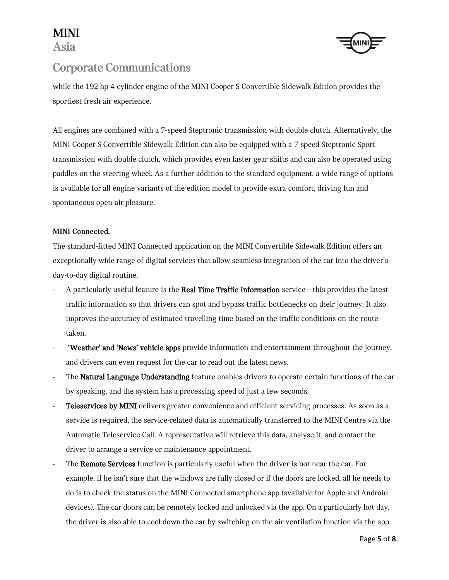

## **Corporate Communications**

while the 192 hp 4-cylinder engine of the MINI Cooper S Convertible Sidewalk Edition provides the sportiest fresh air experience.

All engines are combined with a 7-speed Steptronic transmission with double clutch. Alternatively, the MINI Cooper S Convertible Sidewalk Edition can also be equipped with a 7-speed Steptronic Sport transmission with double clutch, which provides even faster gear shifts and can also be operated using paddles on the steering wheel. As a further addition to the standard equipment, a wide range of options is available for all engine variants of the edition model to provide extra comfort, driving fun and spontaneous open-air pleasure.

#### **MINI Connected.**

The standard-fitted MINI Connected application on the MINI Convertible Sidewalk Edition offers an exceptionally wide range of digital services that allow seamless integration of the car into the driver's day-to-day digital routine.

- A particularly useful feature is the Real Time Traffic Information service this provides the latest traffic information so that drivers can spot and bypass traffic bottlenecks on their journey. It also improves the accuracy of estimated travelling time based on the traffic conditions on the route taken.
- **'Weather' and 'News' vehicle apps** provide information and entertainment throughout the journey, and drivers can even request for the car to read out the latest news.
- The **Natural Language Understanding** feature enables drivers to operate certain functions of the car by speaking, and the system has a processing speed of just a few seconds.
- Teleservices by MINI delivers greater convenience and efficient servicing processes. As soon as a service is required, the service-related data is automatically transferred to the MINI Centre via the Automatic Teleservice Call. A representative will retrieve this data, analyse it, and contact the driver to arrange a service or maintenance appointment.
- The Remote Services function is particularly useful when the driver is not near the car. For example, if he isn't sure that the windows are fully closed or if the doors are locked, all he needs to do is to check the status on the MINI Connected smartphone app (available for Apple and Android devices). The car doors can be remotely locked and unlocked via the app. On a particularly hot day, the driver is also able to cool down the car by switching on the air ventilation function via the app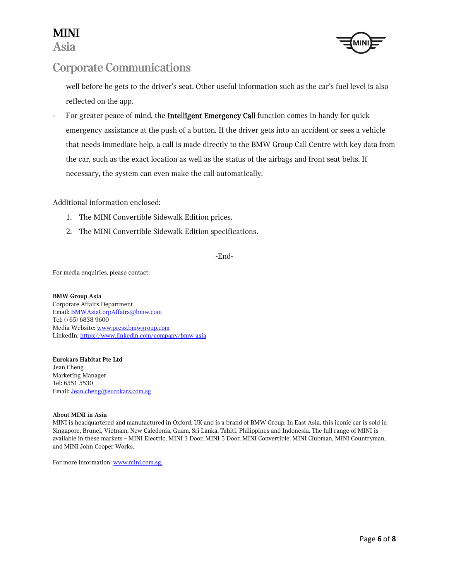



well before he gets to the driver's seat. Other useful information such as the car's fuel level is also reflected on the app.

For greater peace of mind, the **Intelligent Emergency Call** function comes in handy for quick emergency assistance at the push of a button. If the driver gets into an accident or sees a vehicle that needs immediate help, a call is made directly to the BMW Group Call Centre with key data from the car, such as the exact location as well as the status of the airbags and front seat belts. If necessary, the system can even make the call automatically.

Additional information enclosed:

- 1. The MINI Convertible Sidewalk Edition prices.
- 2. The MINI Convertible Sidewalk Edition specifications.

-End-

For media enquiries, please contact:

**BMW Group Asia**  Corporate Affairs Department Email: [BMWAsiaCorpAffairs@bmw.com](mailto:BMWAsiaCorpAffairs@bmw.com) Tel: (+65) 6838 9600 Media Website[: www.press.bmwgroup.com](http://www.press.bmwgroup.com/) LinkedIn[: https://www.linkedin.com/company/bmw-asia](https://www.linkedin.com/company/bmw-asia)

**Eurokars Habitat Pte Ltd** Jean Cheng Marketing Manager Tel: 6551 5530 Email: [Jean.cheng@eurokars.com.sg](mailto:Jean.cheng@eurokars.com.sg)

#### **About MINI in Asia**

MINI is headquartered and manufactured in Oxford, UK and is a brand of BMW Group. In East Asia, this iconic car is sold in Singapore, Brunei, Vietnam, New Caledonia, Guam, Sri Lanka, Tahiti, Philippines and Indonesia. The full range of MINI is available in these markets – MINI Electric, MINI 3 Door, MINI 5 Door, MINI Convertible, MINI Clubman, MINI Countryman, and MINI John Cooper Works.

For more information[: www.mini.com.sg.](http://www.mini.com.sg/)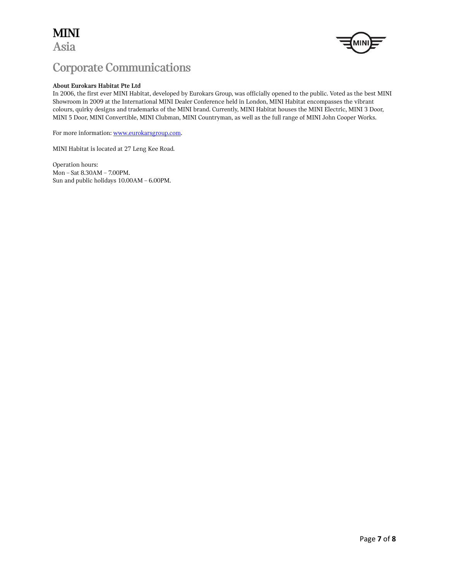

#### **About Eurokars Habitat Pte Ltd**

In 2006, the first ever MINI Habitat, developed by Eurokars Group, was officially opened to the public. Voted as the best MINI Showroom in 2009 at the International MINI Dealer Conference held in London, MINI Habitat encompasses the vibrant colours, quirky designs and trademarks of the MINI brand. Currently, MINI Habitat houses the MINI Electric, MINI 3 Door, MINI 5 Door, MINI Convertible, MINI Clubman, MINI Countryman, as well as the full range of MINI John Cooper Works.

For more information[: www.eurokarsgroup.com.](http://www.eurokarsgroup.com/)

MINI Habitat is located at 27 Leng Kee Road.

Operation hours: Mon – Sat 8.30AM – 7.00PM. Sun and public holidays 10.00AM – 6.00PM.